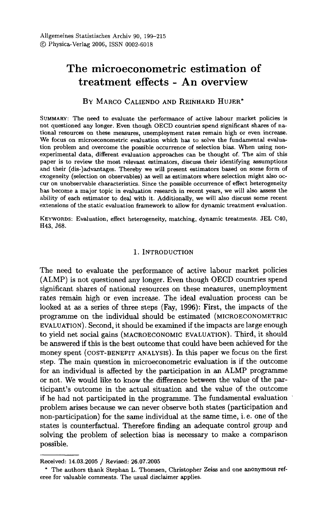# **The microeconometric estimation of treatment effects - An overview**

# BY MARCO CALIENDO AND REINHARD HUJER\*

SUMMARY: The need to evaluate the performance of active labour market policies is not questioned any longer. Even though OECD countries spend significant shares of national resources on these measures, unemployment rates remain high or even increase. We focus on microeconometric evaluation which has to solve the fundamental evaluation problem and overcome the possible occurrence of selection bias. When using nonexperimental data, different evaluation approaches can be thought of. The aim of this paper is to review the most relevant estimators, discuss their identifying assumptions and their (dis-)advantages. Thereby we will present estimators based on some form of exogeneity (selection on observables) as well as estimators where selection might also occur on unobservable characteristics. Since the possible occurrence of effect heterogeneity has become a major topic in evaluation research in recent years, we will also assess the ability of each estimator to deal with it. Additionally, we will also discuss some recent extensions of the static evaluation framework to allow for dynamic treatment evaluation.

KEYWORDS: Evaluation, effect heterogeneity, matching, dynamic treatments. JEL C40, H43, J68.

#### 1. INTRODUCTION

The need to evaluate the performance of active labour market policies (ALMP) is not questioned any longer. Even though OECD countries spend significant shares of national resources on these measures, unemployment rates remain high or even increase. The ideal evaluation process can be looked at as a series of three steps (Fay, 1996): First, the impacts of the programme on the individual should be estimated (MICROECONOMETRIC EVALUATION). Second, it should be examined if the impacts are large enough to yield net social gains (MACROECONOMIC EVALUATION). Third, it should be answered if this is the best outcome that could have been achieved for the money spent (COST-BENEFIT ANALYSIS). In this paper we focus on the first step. The main question in microeconometric evaluation is if the outcome for an individual is affected by the participation in an ALMP programme or not. We would like to know the difference between the value of the participant's outcome in the actual situation and the value of the outcome if he had not participated in the programme. The fundamental evaluation problem arises because we can never observe both states (participation and non-participation) for the same individual at the same time, i.e. one of the states is counterfactual. Therefore finding an adequate control group and solving the problem of selection bias is necessary to make a comparison possible.

Received: 14.03.2005 / Revised: 26.07.2005

<sup>\*</sup> The authors thank Stephan L. Thomsen, Christopher Zeiss and one anonymous referee for valuable comments. The usual disclaimer applies.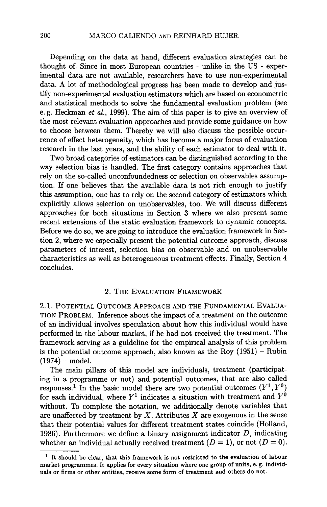Depending on the data at hand, different evaluation strategies can be thought of. Since in most European countries - unlike in the US - experimental data are not available, researchers have to use non-experimental data. A lot of methodological progress has been made to develop and justify non-experimental evaluation estimators which are based on econometric and statistical methods to solve the fundamental evaluation problem (see e.g. Heckman *et al.,* 1999). The aim of this paper is to give an overview of the most relevant evaluation approaches and provide some guidance on how to choose between them. Thereby we will also discuss the possible occurrence of effect heterogeneity, which has become a major focus of evaluation research in the last years, and the ability of each estimator to deal with it.

Two broad categories of estimators can be distinguished according to the way selection bias is handled. The first category contains approaches that rely on the so-called unconfoundedness or selection on observables assumption. If one believes that the available data is not rich enough to justify this assumption, one has to rely on the second category of estimators which explicitly allows selection on unobservables, too. We will discuss different approaches for both situations in Section 3 where we also present some recent extensions of the static evaluation framework to dynamic concepts. Before we do so, we are going to introduce the evaluation framework in Section 2, where we especially present the potential outcome approach, discuss parameters of interest, selection bias on observable and on unobservable characteristics as well as heterogeneous treatment effects. Finally, Section 4 concludes.

### 2. THE EVALUATION FRAMEWORK

2.1. POTENTIAL OUTCOME APPROACH AND THE FUNDAMENTAL EVALUA-TION PROBLEM. Inference about the impact of a treatment on the outcome of an individual involves speculation about how this individual would have performed in the labour market, if he had not received the treatment. The framework serving as a guideline for the empirical analysis of this problem is the potential outcome approach, also known as the Roy  $(1951)$  – Rubin  $(1974)$  - model.

The main pillars of this model are individuals, treatment (participating in a programme or not) and potential outcomes, that are also called responses.<sup>1</sup> In the basic model there are two potential outcomes  $(Y^1, Y^0)$ for each individual, where  $Y^1$  indicates a situation with treatment and  $Y^0$ without. To complete the notation, we additionally denote variables that are unaffected by treatment by  $X$ . Attributes  $X$  are exogenous in the sense that their potential values for different treatment states coincide (Holland, 1986). Furthermore we define a binary assignment indicator  $D$ , indicating whether an individual actually received treatment  $(D = 1)$ , or not  $(D = 0)$ .

<sup>1</sup> It should be clear, that this framework is not restricted **to the** evaluation of labour market programmes. It applies for every situation where one group of units, e.g. individuals or firms or other entities, receive some form of treatment and others do not.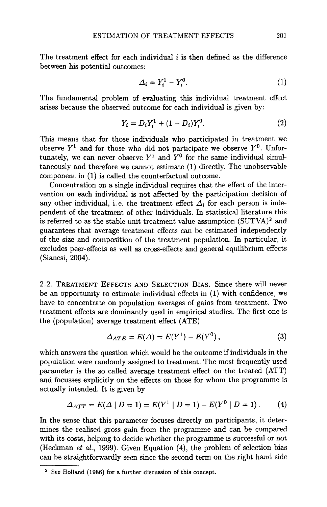The treatment effect for each individual  $i$  is then defined as the difference between his potential outcomes:

$$
\Delta_i = Y_i^1 - Y_i^0. \tag{1}
$$

The fundamental problem of evaluating this individual treatment effect arises because the observed outcome for each individual is given by:

$$
Y_i = D_i Y_i^1 + (1 - D_i) Y_i^0. \tag{2}
$$

This means that for those individuals who participated in treatment we observe  $Y^1$  and for those who did not participate we observe  $Y^0$ . Unfortunately, we can never observe  $Y^1$  and  $Y^0$  for the same individual simultaneously and therefore we cannot estimate (1) directly. The unobservable component in (1) is called the counterfactual outcome.

Concentration on a single individual requires that the effect of the intervention on each individual is not affected by the participation decision of any other individual, i.e. the treatment effect  $\Delta_i$  for each person is independent of the treatment of other individuals. In statistical literature this is referred to as the stable unit treatment value assumption  $(SUTVA)^2$  and guarantees that average treatment effects can be estimated independently of the size and composition of the treatment population. In particular, it excludes peer-effects as well as cross-effects and general equilibrium effects (Sianesi, 2004).

2.2. TREATMENT EFFECTS AND SELECTION BIAS. Since there will never be an opportunity to estimate individual effects in (1) with confidence, we have to concentrate on population averages of gains from treatment. Two treatment effects are dominantly used in empirical studies. The first one is the (population) average treatment effect (ATE)

$$
\Delta_{ATE} = E(\Delta) = E(Y^1) - E(Y^0), \qquad (3)
$$

which answers the question which would be the outcome if individuals in the population were randomly assigned to treatment. The most frequently used parameter is the so called average treatment effect on the treated (ATT) and focusses explicitly on the effects on those for whom the programme is actually intended. It is given by

$$
\Delta_{ATT} = E(\Delta | D = 1) = E(Y^1 | D = 1) - E(Y^0 | D = 1).
$$
 (4)

In the sense that this parameter focuses directly on participants, it determines the realised gross gain from the programme and can be compared with its costs, helping to decide whether the programme is successful or not (Heckman *et al.,* 1999). Given Equation (4), the problem of selection bias can be straightforwardly seen since the second term on the right hand side

<sup>2</sup> See Holland (1986) for a further discussion of this concept.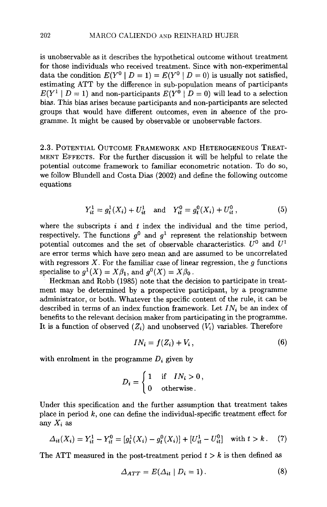is unobservable as it describes the hypothetical outcome without treatment for those individuals who received treatment. Since with non-experimental data the condition  $E(Y^0 | D = 1) = E(Y^0 | D = 0)$  is usually not satisfied, estimating ATT by the difference in sub-population means of participants  $E(Y^1 | D = 1)$  and non-participants  $E(Y^0 | D = 0)$  will lead to a selection bias. This bias arises because participants and non-participants are selected groups that would have different outcomes, even in absence of the programme. It might be caused by observable or unobservable factors.

2.3. POTENTIAL OUTCOME FRAMEWORK AND HETEROGENEOUS TREAT-MENT EFFECTS. For the further discussion it will be helpful to relate the potential outcome framework to familiar econometric notation. To do so, we follow Blundell and Costa Dias (2002) and define the following outcome equations

$$
Y_{it}^{1} = g_{t}^{1}(X_{i}) + U_{it}^{1} \quad \text{and} \quad Y_{it}^{0} = g_{t}^{0}(X_{i}) + U_{it}^{0}, \tag{5}
$$

where the subscripts  $i$  and  $t$  index the individual and the time period, respectively. The functions  $q^0$  and  $q^1$  represent the relationship between potential outcomes and the set of observable characteristics.  $U^0$  and  $U^1$ are error terms which have zero mean and are assumed to be uncorrelated with regressors  $X$ . For the familiar case of linear regression, the  $g$  functions specialise to  $g^1(X) = X\beta_1$ , and  $g^0(X) = X\beta_0$ .

Heckman and Robb (1985) note that the decision to participate in treatment may be determined by a prospective participant, by a programme administrator, or both. Whatever the specific content of the rule, it can be described in terms of an index function framework. Let  $IN_i$  be an index of benefits to the relevant decision maker from participating in the programme. It is a function of observed  $(Z_i)$  and unobserved  $(V_i)$  variables. Therefore

$$
IN_i = f(Z_i) + V_i, \t\t(6)
$$

with enrolment in the programme  $D_i$  given by

$$
D_i = \begin{cases} 1 & \text{if } IN_i > 0, \\ 0 & \text{otherwise.} \end{cases}
$$

Under this specification and the further assumption that treatment takes place in period  $k$ , one can define the individual-specific treatment effect for any  $X_i$  as

$$
\Delta_{it}(X_i) = Y_{it}^1 - Y_{it}^0 = [g_t^1(X_i) - g_t^0(X_i)] + [U_{it}^1 - U_{it}^0] \text{ with } t > k. \tag{7}
$$

The ATT measured in the post-treatment period  $t > k$  is then defined as

$$
\Delta_{ATT} = E(\Delta_{it} \mid D_i = 1). \tag{8}
$$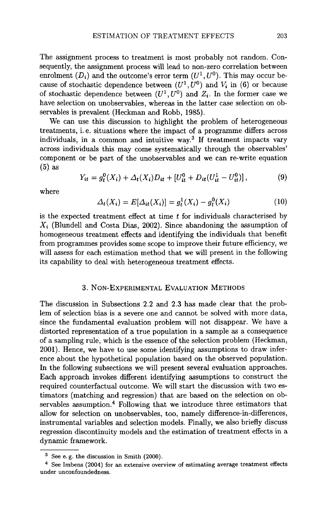The assignment process to treatment is most probably not random. Consequently, the assignment process will lead to non-zero correlation between enrolment  $(D_i)$  and the outcome's error term  $(U^1, U^0)$ . This may occur because of stochastic dependence between  $(U^1, U^0)$  and  $V_i$  in (6) or because of stochastic dependence between  $(U^1, U^0)$  and  $Z_i$ . In the former case we have selection on unobservables, whereas in the latter case selection on observables is prevalent (Heckman and Robb, 1985).

We can use this discussion to highlight the problem of heterogeneous treatments, i.e. situations where the impact of a programme differs across individuals, in a common and intuitive way.<sup>3</sup> If treatment impacts vary across individuals this may come systematically through the observables' component or be part of the unobservables and we can re-write equation **(5) as** 

$$
Y_{it} = g_t^0(X_i) + \Delta_t(X_i)D_{it} + [U_{it}^0 + D_{it}(U_{it}^1 - U_{it}^0)],
$$
 (9)

where

$$
\Delta_t(X_i) = E[\Delta_{it}(X_i)] = g_t^1(X_i) - g_t^0(X_i)
$$
\n(10)

is the expected treatment effect at time  $t$  for individuals characterised by  $X_i$  (Blundell and Costa Dias, 2002). Since abandoning the assumption of homogeneous treatment effects and identifying the individuals that benefit from programmes provides some scope to improve their future efficiency, we will assess for each estimation method that we will present in the following its capability to deal with heterogeneous treatment effects.

### 3. NON-EXPERIMENTAL EVALUATION METHODS

The discussion in Subsections 2.2 and 2.3 has made clear that the problem of selection bias is a severe one and cannot be solved with more data, since the fundamental evaluation problem will not disappear. We have a distorted representation of a true population in a sample as a consequence of a sampling rule, which is the essence of the selection problem (Heckman, 2001). Hence, we have to use some identifying assumptions to draw inference about the hypothetical population based on the observed population. In the following subsections we will present several evaluation approaches. Each approach invokes different identifying assumptions to construct the required counterfactual outcome. We will start the discussion with two estimators (matching and regression) that are based on the selection on observables assumption.<sup>4</sup> Following that we introduce three estimators that allow for selection on unobservables, too, namely difference-in-differences, instrumental variables and selection models. Finally, we also briefly discuss regression discontinuity models and the estimation of treatment effects in a dynamic framework.

 $3$  See e.g. the discussion in Smith (2000).

<sup>4</sup> See Imbens (2004) for an extensive overview of estimating average treatment effects under unconfoundedness.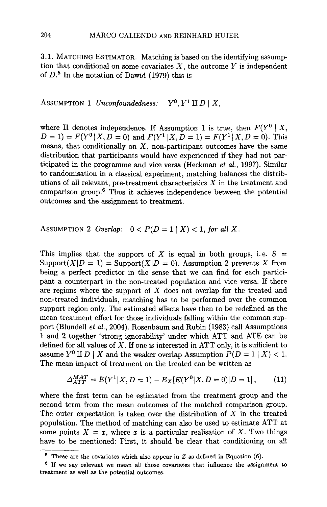3.1. MATCHING ESTIMATOR. Matching is based on the identifying assumption that conditional on some covariates  $X$ , the outcome  $Y$  is independent of  $D<sup>5</sup>$  In the notation of Dawid (1979) this is

ASSUMPTION 1 *Unconfoundedness:*  $Y^0, Y^1 \amalg D \mid X$ ,

where II denotes independence. If Assumption 1 is true, then  $F(Y^0 | X, Y^0)$  $D = 1$ ) =  $F(Y^0 | X, D = 0)$  and  $F(Y^1 | X, D = 1) = F(Y^1 | X, D = 0)$ . This means, that conditionally on  $X$ , non-participant outcomes have the same distribution that participants would have experienced if they had not participated in the programme and vice versa (Heckman *et al.,* 1997). Similar to randomisation in a classical experiment, matching balances the distributions of all relevant, pre-treatment characteristics  $\overline{X}$  in the treatment and comparison group. $6$  Thus it achieves independence between the potential outcomes and the assignment to treatment.

ASSUMPTION 2 *Overlap:*  $0 < P(D = 1 | X) < 1$ , for all X.

This implies that the support of X is equal in both groups, i.e.  $S =$ Support $(X|D = 1)$  = Support $(X|D = 0)$ . Assumption 2 prevents X from being a perfect predictor in the sense that we can find for each participant a counterpart in the non-treated population and vice versa. If there are regions where the support of  $X$  does not overlap for the treated and non-treated individuals, matching has to be performed over the common support region only. The estimated effects have then to be redefined as the mean treatment effect for those individuals falling within the common support (Blundell *et al.,* 2004). Rosenbaum and Rubin (1983) call Assumptions 1 and 2 together 'strong ignorability' under which ATT and ATE can be defined for all values of  $X$ . If one is interested in ATT only, it is sufficient to assume  $Y^0 \amalg D \mid X$  and the weaker overlap Assumption  $P(D = 1 \mid X) < 1$ . The mean impact of treatment on the treated can be written as

$$
\Delta_{ATT}^{MAT} = E(Y^1 | X, D = 1) - E_X[E(Y^0 | X, D = 0) | D = 1], \tag{11}
$$

where the first term can be estimated from the treatment group and the second term from the mean outcomes of the matched comparison group. The outer expectation is taken over the distribution of  $X$  in the treated population. The method of matching can also be used to estimate ATT at some points  $X = x$ , where x is a particular realisation of X. Two things have to be mentioned: First, it should be clear that conditioning on all

 $5$  These are the covariates which also appear in Z as defined in Equation (6).

 $6$  If we say relevant we mean all those covariates that influence the assignment to treatment as well as the potential outcomes.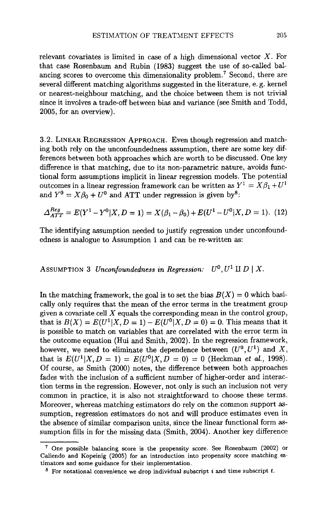relevant covariates is limited in case of a high dimensional vector  $X$ . For that case Rosenbaum and Rubin (1983) suggest the use of so-called balancing scores to overcome this dimensionality problem.<sup>7</sup> Second, there are several different matching algorithms suggested in the literature, e. g. kernel or nearest-neighbour matching, and the choice between them is not trivial since it involves a trade-off between bias and variance (see Smith and Todd, 2005, for an overview).

3.2. LINEAR REGRESSION APPROACH. Even though regression and matching both rely on the unconfoundedness assumption, there are some key differences between both approaches which are worth to be discussed. One key difference is that matching, due to its non-parametric nature, avoids functional form assumptions implicit in linear regression models. The potential outcomes in a linear regression framework can be written as  $Y^1 = X\beta_1 + U^1$ and  $Y^0 = X\beta_0 + U^0$  and ATT under regression is given by<sup>8</sup>:

$$
\Delta_{ATT}^{Reg} = E(Y^1 - Y^0 | X, D = 1) = X(\beta_1 - \beta_0) + E(U^1 - U^0 | X, D = 1). \tag{12}
$$

The identifying assumption needed to justify regression under unconfoundedness is analogue to Assumption 1 and can be re-written as:

ASSUMPTION 3 *Unconfoundedness in Regression:*  $U^0$ ,  $U^1$  II  $D \mid X$ .

In the matching framework, the goal is to set the bias  $B(X) = 0$  which basically only requires that the mean of the error terms in the treatment group given a covariate cell  $X$  equals the corresponding mean in the control group, that is  $B(X) = E(U^1 | X, D = 1) - E(U^0 | X, D = 0) = 0$ . This means that it is possible to match on variables that are correlated with the error term in the outcome equation (Hui and Smith, 2002). In the regression framework, however, we need to eliminate the dependence between  $(U^0, U^1)$  and X, that is  $E(U^1|X, D = 1) = E(U^0|X, D = 0) = 0$  (Heckman *et al.*, 1998). Of course, as Smith (2000) notes, the difference between both approaches fades with the inclusion of a sufficient number of higher-order and interaction terms in the regression. However, not only is such an inclusion not very common in practice, it is also not straightforward to choose these terms. Moreover, whereas matching estimators do rely on the common support assumption, regression estimators do not and will produce estimates even in the absence of similar comparison units, since the linear functional form assumption fills in for the missing data (Smith, 2004). Another key difference

<sup>7</sup> One possible balancing score is the propensity score. See Rosenbaum (2002) or Caliendo and Kopeinig (2005) for an introduction into propensity score matching estimators and some guidance for their implementation.

<sup>&</sup>lt;sup>8</sup> For notational convenience we drop individual subscript i and time subscript i.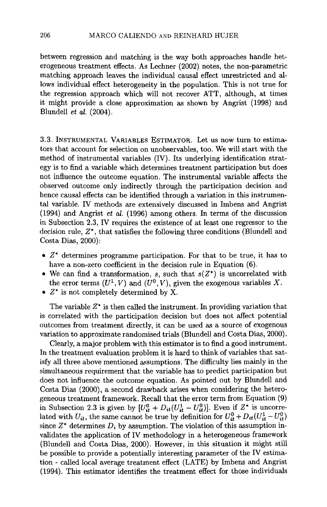between regression and matching is the way both approaches handle heterogeneous treatment effects. As Lechner (2002) notes, the non-parametric matching approach leaves the individual causal effect unrestricted and allows individual effect heterogeneity in the population. This is not true for the regression approach which will not recover ATT, although, at times it might provide a close approximation as shown by Angrist (1998) and Blundell *et al.* (2004).

3.3. INSTRUMENTAL VARIABLES ESTIMATOR. Let us now turn to estimators that account for selection on unobservables, too. We will start with the method of instrumental variables (IV). Its underlying identification strategy is to find a variable which determines treatment participation but does not influence the outcome equation. The instrumental variable affects the observed outcome only indirectly through the participation decision and hence causal effects can be identified through a variation in this instrumental variable. IV methods are extensively discussed in Imbens and Angrist (1994) and Angrist *et al.* (1996) among others. In terms of the discussion in Subsection 2.3, IV requires the existence of at least one regressor to the decision rule, Z\*, that satisfies the following three conditions (Blundell and Costa Dias, 2000):

- $\bullet$   $Z^*$  determines programme participation. For that to be true, it has to have a non-zero coefficient in the decision rule in Equation (6).
- We can find a transformation, s, such that  $s(Z^*)$  is uncorrelated with the error terms  $(U^1, V)$  and  $(U^0, V)$ , given the exogenous variables X.
- $\bullet$  Z<sup>\*</sup> is not completely determined by X.

The variable  $Z^*$  is then called the instrument. In providing variation that is correlated with the participation decision but does not affect potential outcomes from treatment directly, it can be used as a source of exogenous variation to approximate randomised trials (Blundell and Costa Dias, 2000).

Clearly, a major problem with this estimator is to find a good instrument. In the treatment evaluation problem it is hard to think of variables that satisfy all three above mentioned assumptions. The difficulty lies mainly in the simultaneous requirement that the variable has to predict participation but does not influence the outcome equation. As pointed out by Blundell and Costa Dias (2000), a second drawback arises when considering the heterogeneous treatment framework. Recall that the error term from Equation (9) in Subsection 2.3 is given by  $[U_{it}^0 + D_{it}(U_{it}^1 - U_{it}^0)]$ . Even if  $Z^*$  is uncorrelated with  $U_{it}$ , the same cannot be true by definition for  $U_{it}^0 + D_{it}(U_{it}^1 - U_{it}^0)$ since  $Z^*$  determines  $D_i$  by assumption. The violation of this assumption invalidates the application of IV methodology in a heterogeneous framework (Blundell and Costa Dias, 2000). However, in this situation it might still be possible to provide a potentially interesting parameter of the IV estimation - called local average treatment effect (LATE) by Imbens and Angrist (1994). This estimator identifies the treatment effect for those individuals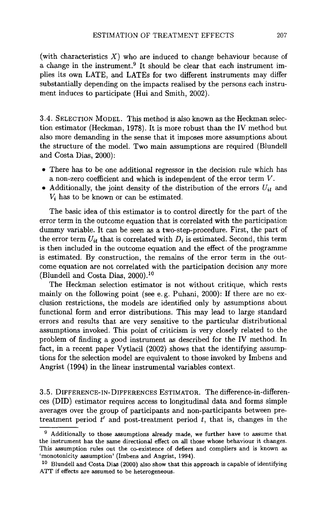(with characteristics  $X$ ) who are induced to change behaviour because of a change in the instrument.<sup>9</sup> It should be clear that each instrument implies its own LATE, and LATEs for two different instruments may differ substantially depending on the impacts realised by the persons each instrument induces to participate (Hui and Smith, 2002).

3.4. SELECTION MODEL. This method is also known as the Heckman selection estimator (Heckman, 1978). It is more robust than the IV method but also more demanding in the sense that it imposes more assumptions about the structure of the model. Two main assumptions are required (Blundell and Costa Dias, 2000):

- 9 There has to be one additional regressor in the decision rule which has a non-zero coefficient and which is independent of the error term V.
- Additionally, the joint density of the distribution of the errors  $U_{it}$  and  $V_i$  has to be known or can be estimated.

The basic idea of this estimator is to control directly for the part of the error term in the outcome equation that is correlated with the participation dummy variable. It can be seen as a two-step-procedure. First, the part of the error term  $U_{it}$  that is correlated with  $D_i$  is estimated. Second, this term is then included in the outcome equation and the effect of the programme is estimated. By construction, the remains of the error term in the outcome equation are not correlated with the participation decision any more (Blundell and Costa Dias,  $2000$ ).<sup>10</sup>

The Heckman selection estimator is not without critique, which rests mainly on the following point (see e.g. Puhani, 2000): If there are no exclusion restrictions, the models are identified only by assumptions about functional form and error distributions. This may lead to large standard errors and results that are very sensitive to the particular distributional assumptions invoked. This point of criticism is very closely related to the problem of finding a good instrument as described for the IV method. In fact, in a recent paper Vytlacil (2002) shows that the identifying assumptions for the selection model are equivalent to those invoked by Imbens and Angrist (1994) in the linear instrumental variables context.

3.5. DIFFERENCE-IN-DIFFERENCES ESTIMATOR. The difference-in-differences (DID) estimator requires access to longitudinal data and forms simple averages over the group of participants and non-participants between pretreatment period  $t'$  and post-treatment period  $t$ , that is, changes in the

<sup>&</sup>lt;sup>9</sup> Additionally to those assumptions already made, we further have to assume that the instrument has the same directional effect on all those whose behaviour it changes. This assumption rules out the co-existence of defiers and compliers and is known as 'monotonicity assumption' (Imbens and Angrist, 1994).

 $10$  Blundell and Costa Dias (2000) also show that this approach is capable of identifying ATT if effects are assumed to be heterogeneous.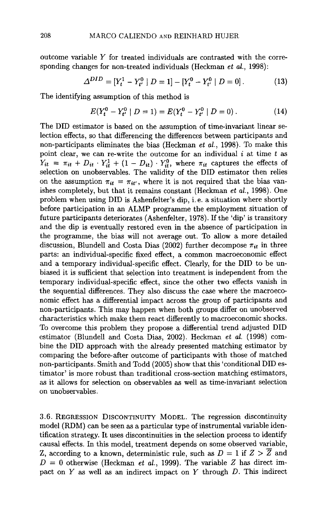outcome variable Y for treated individuals are contrasted with the corresponding changes for non-treated individuals (Heckman *et al.,* 1998):

$$
\Delta^{DID} = [Y_t^1 - Y_{t'}^0 \mid D = 1] - [Y_t^0 - Y_{t'}^0 \mid D = 0]. \tag{13}
$$

The identifying assumption of this method is

$$
E(Y_t^0 - Y_{t'}^0 | D = 1) = E(Y_t^0 - Y_{t'}^0 | D = 0).
$$
 (14)

The DID estimator is based on the assumption of time-invariant linear selection effects, so that differencing the differences between participants and non-participants eliminates the bias (Heckman *et al.,* 1998). To make this point clear, we can re-write the outcome for an individual  $i$  at time  $t$  as  $Y_{it} = \pi_{it} + D_{it} \cdot Y_{it}^1 + (1 - D_{it}) \cdot Y_{it}^0$ , where  $\pi_{it}$  captures the effects of selection on unobservables. The validity of the DID estimator then relies on the assumption  $\pi_{it} = \pi_{it'}$ , where it is not required that the bias vanishes completely, but that it remains constant (Heckman *et al.,* 1998). One problem when using DID is Ashenfelter's dip, i.e. a situation where shortly before participation in an ALMP programme the employment situation of future participants deteriorates (Ashenfelter, 1978). If the 'dip' is transitory and the dip is eventually restored even in the absence of participation in the programme, the bias will not average out. To allow a more detailed discussion, Blundell and Costa Dias (2002) further decompose  $\pi_{it}$  in three parts: an individual-specific fixed effect, a common macroeconomic effect and a temporary individual-specific effect. Clearly, for the DID to be unbiased it is sufficient that selection into treatment is independent from the temporary individual-specific effect, since the other two effects vanish in the sequential differences. They also discuss the case where the macroeconomic effect has a differential impact across the group of participants and non-participants. This may happen when both groups differ on unobserved characteristics which make them react differently to macroeconomic shocks. To overcome this problem they propose a differential trend adjusted DID estimator (Blundell and Costa Dias, 2002). Heckman *et al.* (1998) combine the DID approach with the already presented matching estimator by comparing the before-after outcome of participants with those of matched non-participants. Smith and Todd (2005) show that this 'conditional DID estimator' is more robust than traditional cross-section matching estimators, as it allows for selection on observables as well as time-invariant selection on unobservables.

3.6. REGRESSION DISCONTINUITY MODEL. The regression discontinuity model (RDM) can be seen as a particular type of instrumental variable identification strategy. It uses discontinuities in the selection process to identify causal effects. In this model, treatment depends on some observed variable, Z, according to a known, deterministic rule, such as  $D = 1$  if  $Z > \overline{Z}$  and  $D = 0$  otherwise (Heckman *et al.*, 1999). The variable Z has direct impact on  $Y$  as well as an indirect impact on  $Y$  through  $D$ . This indirect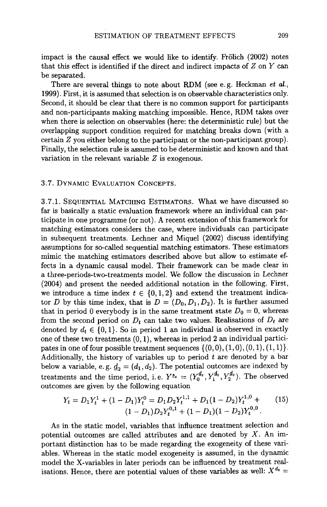impact is the causal effect we would like to identify. Frölich (2002) notes that this effect is identified if the direct and indirect impacts of  $Z$  on  $Y$  can be separated.

There are several things to note about RDM (see e.g. Heckman *et al.,*  1999). First, it is assumed that selection is on observable characteristics only. Second, it should be clear that there is no common support for participants and non-participants making matching impossible. Hence, RDM takes over when there is selection on observables (here: the deterministic rule) but the overlapping support condition required for matching breaks down (with a certain Z you either belong to the participant or the non-participant group). Finally, the selection rule is assumed to be deterministic and known and that variation in the relevant variable  $Z$  is exogenous.

#### 3.7. DYNAMIC EVALUATION CONCEPTS.

3.7.1. SEQUENTIAL MATCHING ESTIMATORS. What we have discussed so far is basically a static evaluation framework where an individual can participate in one programme (or not). A recent extension of this framework for matching estimators considers the case, where individuals can participate in subsequent treatments. Lechner and Miquel (2002) discuss identifying assumptions for so-called sequential matching estimators. These estimators mimic the matching estimators described above but allow to estimate effects in a dynamic causal model. Their framework can be made clear in a three-periods-two-treatments model. We follow the discussion in Lechner (2004) and present the needed additional notation in the following. First, we introduce a time index  $t \in \{0, 1, 2\}$  and extend the treatment indicator D by this time index, that is  $D = (D_0, D_1, D_2)$ . It is further assumed that in period 0 everybody is in the same treatment state  $D_0 = 0$ , whereas from the second period on  $D_t$  can take two values. Realisations of  $D_t$  are denoted by  $d_t \in \{0, 1\}$ . So in period 1 an individual is observed in exactly one of these two treatments  $(0, 1)$ , whereas in period 2 an individual participates in one of four possible treatment sequences  $\{(0,0), (1,0), (0,1), (1,1)\}.$ Additionally, the history of variables up to period  $t$  are denoted by a bar below a variable, e.g.  $\underline{d}_2 = (d_1, d_2)$ . The potential outcomes are indexed by treatments and the time period, i.e.  $Y_{-i}^{\underline{s_i}} = (Y_0^{d_i}, Y_1^{d_i}, Y_2^{d_i})$ . The observed outcomes are given by the following equation

$$
Y_t = D_1 Y_t^1 + (1 - D_1) Y_t^0 = D_1 D_2 Y_t^{1,1} + D_1 (1 - D_2) Y_t^{1,0} + (1 - D_1) D_2 Y_t^{0,1} + (1 - D_1) (1 - D_2) Y_t^{0,0}.
$$
 (15)

As in the static model, variables that influence treatment selection and potential outcomes are called attributes and are denoted by  $X$ . An important distinction has to be made regarding the exogeneity of these variables. Whereas in the static model exogeneity is assumed, in the dynamic model the X-variables in later periods can be influenced by treatment realisations. Hence, there are potential values of these variables as well:  $X^{d_t} =$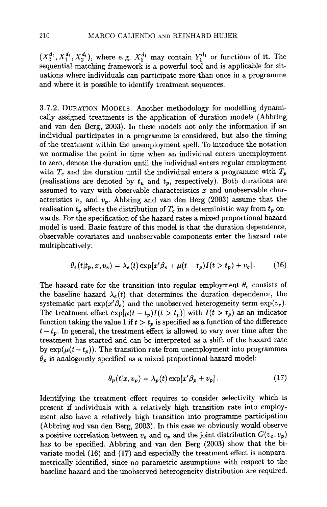$(X_0^{d_t}, X_1^{d_t}, X_2^{d_t})$ , where e.g.  $X_1^{d_1}$  may contain  $Y_1^{d_1}$  or functions of it. The sequential matching framework is a powerful tool and is applicable for situations where individuals can participate more than once in a programme and where it is possible to identify treatment sequences.

3.7.2. DURATION MODELS. Another methodology for modelling dynamically assigned treatments is the application of duration models (Abbring and van den Berg, 2003). In these models not only the information if an individual participates in a programme is considered, but also the timing of the treatment within the unemployment spell. To introduce the notation we normalise the point in time when an individual enters unemployment to zero, denote the duration until the individual enters regular employment with  $T_e$  and the duration until the individual enters a programme with  $T_p$ (realisations are denoted by  $t<sub>u</sub>$  and  $t<sub>p</sub>$ , respectively). Both durations are assumed to vary with observable characteristics  $x$  and unobservable characteristics  $v_e$  and  $v_p$ . Abbring and van den Berg (2003) assume that the realisation  $t_p$  affects the distribution of  $T_e$  in a deterministic way from  $t_p$  onwards. For the specification of the hazard rates a mixed proportional hazard model is used. Basic feature of this model is that the duration dependence, observable covariates and unobservable components enter the hazard rate multiplicatively:

$$
\theta_e(t|t_p, x, v_e) = \lambda_e(t) \exp[x'\beta_e + \mu(t - t_p)I(t > t_p) + v_e]. \tag{16}
$$

The hazard rate for the transition into regular employment  $\theta_e$  consists of the baseline hazard  $\lambda_e(t)$  that determines the duration dependence, the systematic part  $\exp(x'\beta_e)$  and the unobserved heterogeneity term  $\exp(v_e)$ . The treatment effect  $\exp[\mu(t - t_p)I(t > t_p)]$  with  $I(t > t_p)$  as an indicator function taking the value 1 if  $t > t_p$  is specified as a function of the difference  $t-t_p$ . In general, the treatment effect is allowed to vary over time after the treatment has started and can be interpreted as a shift of the hazard rate by  $\exp(\mu(t-t_p))$ . The transition rate from unemployment into programmes  $\theta_p$  is analogously specified as a mixed proportional hazard model:

$$
\theta_p(t|x, v_p) = \lambda_p(t) \exp[x'\beta_p + v_p]. \tag{17}
$$

Identifying the treatment effect requires to consider selectivity which is present if individuals with a relatively high transition rate into employment also have a relatively high transition into programme participation (Abbring and van den Berg, 2003). In this case we obviously would observe a positive correlation between  $v_e$  and  $v_p$  and the joint distribution  $G(v_e, v_p)$ has to be specified. Abbring and van den Berg (2003) show that the bivariate model (16) and (17) and especially the treatment effect is nonparametrically identified, since no parametric assumptions with respect to the baseline hazard and the unobserved heterogeneity distribution are required.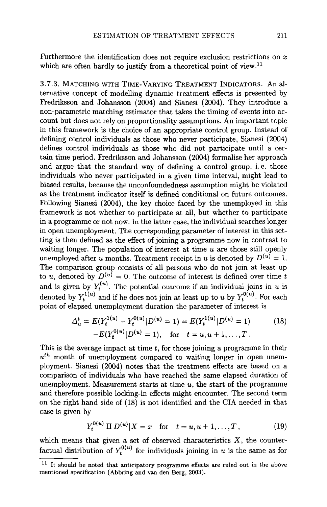Furthermore the identification does not require exclusion restrictions on  $x$ which are often hardly to justify from a theoretical point of view.<sup>11</sup>

3.7.3. MATCHING WITH TIME-VARYING TREATMENT INDICATORS. An alternative concept of modelling dynamic treatment effects is presented by Fredriksson and Johansson (2004) and Sianesi (2004). They introduce a non-parametric matching estimator that takes the timing of events into account but does not rely on proportionality assumptions. An important topic in this framework is the choice of an appropriate control group. Instead of defining control individuals as those who never participate, Sianesi (2004) defines control individuals as those who did not participate until a certain time period. Fredriksson and Johansson (2004) formalise her approach and argue that the standard way of defining a control group, i.e. those individuals who never participated in a given time interval, might lead to biased results, because the unconfoundedness assumption might be violated as the treatment indicator itself is defined conditional on future outcomes. Following Sianesi (2004), the key choice faced by the unemployed in this framework is not whether to participate at all, but whether to participate in a programme or not now. In the latter case, the individual searches longer in open unemployment. The corresponding parameter of interest in this setting is then defined as the effect of joining a programme now in contrast to waiting longer. The population of interest at time  $u$  are those still openly unemployed after u months. Treatment receipt in u is denoted by  $D^{(u)} = 1$ . The comparison group consists of all persons who do not join at least up to u, denoted by  $D^{(u)} = 0$ . The outcome of interest is defined over time t and is given by  $Y_t^{(\alpha)}$ . The potential outcome if an individual joins in u is denoted by  $Y_t^{\star\prime\star}$  and if he does not join at least up to u by  $Y_t^{\star\prime\star}$ . For each point of elapsed unemployment duration the parameter of interest is

$$
\Delta_u^t = E(Y_t^{1(u)} - Y_t^{0(u)} | D^{(u)} = 1) = E(Y_t^{1(u)} | D^{(u)} = 1)
$$
(18)  

$$
-E(Y_t^{0(u)} | D^{(u)} = 1), \text{ for } t = u, u + 1, ..., T.
$$

This is the average impact at time  $t$ , for those joining a programme in their *u th* month of unemployment compared to waiting longer in open unemployment. Sianesi (2004) notes that the treatment effects are based on a comparison of individuals who have reached the same elapsed duration of unemployment. Measurement starts at time  $u$ , the start of the programme and therefore possible locking-in effects might encounter. The second term on the right hand side of (18) is not identified and the CIA needed in that case is given by

$$
Y_t^{0(u)} \amalg D^{(u)}|X = x \quad \text{for} \quad t = u, u + 1, \dots, T \,, \tag{19}
$$

which means that given a set of observed characteristics  $X$ , the counterfactual distribution of  $Y_t^{\alpha}$  for individuals joining in u is the same as for

<sup>&</sup>lt;sup>11</sup> It should be noted that anticipatory programme effects are ruled out in the above mentioned specification (Abbring and van den Berg, 2003).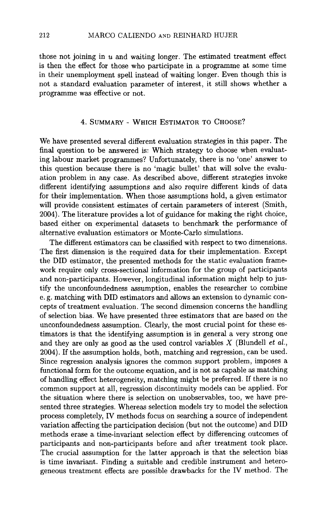those not joining in  $u$  and waiting longer. The estimated treatment effect is then the effect for those who participate in a programme at some time in their unemployment spell instead of waiting longer. Even though this is not a standard evaluation parameter of interest, it still shows whether a programme was effective or not.

# 4. SUMMARY - WHICH ESTIMATOR TO CHOOSE?

We have presented several different evaluation strategies in this paper. The final question to be answered is: Which strategy to choose when evaluating labour market programmes? Unfortunately, there is no 'one' answer to this question because there is no 'magic bullet' that will solve the evaluation problem in any case. As described above, different strategies invoke different identifying assumptions and also require different kinds of data for their implementation. When those assumptions hold, a given estimator will provide consistent estimates of certain parameters of interest (Smith, 2004). The literature provides a lot of guidance for making the right choice, based either on experimental datasets to benchmark the performance of alternative evaluation estimators or Monte-Carlo simulations.

The different estimators can be classified with respect to two dimensions. The first dimension is the required data for their implementation. Except the DID estimator, the presented methods for the static evaluation framework require only cross-sectional information for the group of participants and non-participants. However, longitudinal information might help to justify the unconfoundedness assumption, enables the researcher to combine e. g. matching with DID estimators and allows an extension to dynamic concepts of treatment evaluation. The second dimension concerns the handling of selection bias. We have presented three estimators that are based on the unconfoundedness assumption. Clearly, the most crucial point for these estimators is that the identifying assumption is in general a very strong one and they are only as good as the used control variables X (Blundell *et al.,*  2004). If the assumption holds, both, matching and regression, can be used. Since regression analysis ignores the common support problem, imposes a functional form for the outcome equation, and is not as capable as matching of handling effect heterogeneity, matching might be preferred. If there is no common support at all, regression discontinuity models can be applied. For the situation where there is selection on unobservables, too, we have presented three strategies. Whereas selection models try to model the selection process completely, IV methods focus on searching a source of independent variation affecting the participation decision (but not the outcome) and DID methods erase a time-invariant selection effect by differencing outcomes of participants and non-participants before and after treatment took place. The crucial assumption for the latter approach is that the selection bias is time invariant. Finding a suitable and credible instrument and heterogeneous treatment effects are possible drawbacks for the IV method. The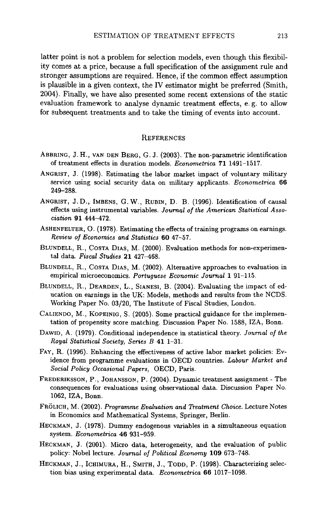latter point is not a problem for selection models, even though this flexibility comes at a price, because a full specification of the assignment rule and stronger assumptions are required. Hence, if the common effect assumption is plausible in a given context, the IV estimator might be preferred (Smith, 2004). Finally, we have also presented some recent extensions of the static evaluation framework to analyse dynamic treatment effects, e.g. to allow for subsequent treatments and to take the timing of events into account.

#### **REFERENCES**

- ABBRING, J. H., VAN DEN BERG, G. J. (2003). The non-parametric identification of treatment effects in duration models. *Econometrica* 71 1491-1517.
- ANGRIST, J. (1998). Estimating the labor market impact of voluntary military service using social security data on military applicants. *Econometrica* 66 249-288.
- ANGRIST, J.D., IMBENS, G.W., RUBIN, D. B. (1996). Identification of causal effects using instrumental variables. *Journal of the American Statistical Association* 91 444-472.
- ASHENFELTER, O. (1978). Estimating the effects of training programs on earnings. *Review of Economics and Statistics* 60 47-57.
- BLUNDELL, R., COSTA DIAS, M. (2000). Evaluation methods for non-experimental data. *Fiscal Studies* 21 427-468.
- BLUNDELL, R., COSTA DIAS, M. (2002). Alternative approaches to evaluation in empirical microeconomics. *Portuguese Economic Journal* 1 91-115.
- BLUNDELL, R., DEARDEN, L., SIANESI, B. (2004). Evaluating the impact of education on earnings in the UK: Models, methods and results from the NCDS. Working Paper No. 03/20, The Institute of Fiscal Studies, London.
- CALIENDO, M., KOPEINIG, S. (2005). Some practical guidance for the implementation of propensity score matching. Discussion Paper No. 1588, IZA, Bonn.
- DAWID, A. (1979). Conditional independence in statistical theory. *Journal of the Royal Statistical Society, Series B* 41 1-31.
- FAY, R. (1996). Enhancing the effectiveness of active labor market policies: Evidence from programme evaluations in OECD countries. *Labour Market and Social Policy Occasional Papers,* OECD, Paris.
- FREDERIKSSON, P., JOHANSSON, P. (2004). Dynamic treatment assignment- The consequences for evaluations using observational data. Discussion Paper No. 1062, IZA, Bonn.
- FROLICH, M. (2002). *Programme Evaluation and Treatment Choice.* Lecture Notes in Economics and Mathematical Systems, Springer, Berlin.
- HECKMAN, J. (1978). Dummy endogenous variables in a simultaneous equation system. *Econometrica* 46 931-959.
- HECKMAN, J. (2001). Micro data, heterogeneity, and the evaluation of public policy: Nobel lecture. *Journal of Political Economy* 109 673-748.
- HECKMAN, J., ICHIMURA, H., SMITH, J., TODD, P. (1998). Characterizing selection bias using experimental data. *Econometrica* 66 1017-1098.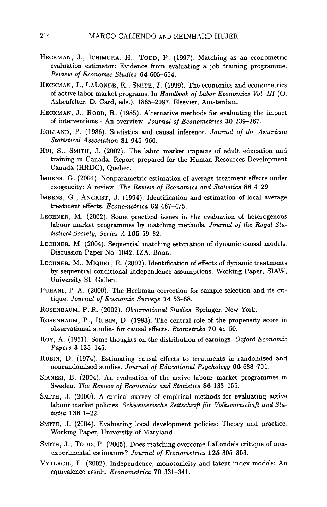- HECKMAN, J., ICHIMURA, H., TODD, P. (1997). Matching as an econometric evaluation estimator: Evidence from evaluating a job training programme. *Review of Economic Studies* 64 605-654.
- HECKMAN, J., LALONDE, R., SMITh, J. (1999). The economics and econometrics of active labor market programs. In *Handbook of Labor Economics Vol. III (0.*  Ashenfelter, D. Card, eds.), 1865-2097. Elsevier, Amsterdam.
- HECKMAN, J., ROBB, R. (1985). Alternative methods for evaluating the impact of interventions - An overview. *Journal of Econometrics* 30 239-267.
- HOLLAND, P. (1986). Statistics and causal inference. *Journal of the American Statistical Association* 81 945-960.
- HUI, S., SMITH, J. (2002). The labor market impacts of adult education and training in Canada. Report prepared for the Human Resources Development Canada (HRDC), Quebec.
- IMBENS, G. (2004). Nonparametric estimation of average treatment effects under exogeneity: A review. *The Review of Economics and Statistics* 86 4-29.
- IMBENS, G., ANGRIST, J. (1994). Identification and estimation of local average treatment effects. *Econometrica* 62 467-475.
- LECHNER, M. (2002). Some practical issues in the evaluation of heterogenous labour market programmes by matching methods. *Journal of the Royal Statistical Society, Series A* 165 59-82.
- LECHNER, M. (2004). Sequential matching estimation of dynamic causal models. Discussion Paper No. 1042, IZA, Bonn.
- LECHNER, M., MIQUEL, R. (2002). Identification of effects of dynamic treatments by sequential conditional independence assumptions. Working Paper, SIAW, University St. Gallen.
- PUHANI, P.A. (2000). The Heckman correction for sample selection and its critique. *Journal of Economic Surveys* 14 53-68.
- ROSENBAUM, P.R. (2002). *Observational Studies.* Springer, New York.
- ROSENBAUM, P., RUBIN, D. (1983). The central role of the propensity score in observational studies for causal effects. *Biometrika* 70 41-50.
- RoY, A. (1951). Some thoughts on the distribution of earnings. *Oxford Economic Papers* 3 135-145.
- RUBIN, D. (1974). Estimating causal effects to treatments in randomised and nonrandomised studies. *Journal of Educational Psychology* 66 688-701.
- SIANESI, B. (2004). An evaluation of the active labour market programmes in Sweden. *The Review of Economics and Statistics* 86 133-155.
- SMITH, J. (2000). A critical survey of empirical methods for evaluating active labour market policies. *Sehweizerisehe Zeitschrift fiir Volkswirtschafl und Statistik* 136 1-22.
- SMITH, J. (2004). Evaluating local development policies: Theory and practice. Working Paper, University of Maryland.
- SMITH, J., TODD, P. (2005). Does matching overcome LaLonde's critique of nonexperimental estimators? *Journal of Econometrics* 125 305-353.
- VYTLACIL, E. (2002). Independence, monotonicity and latent index models: An equivalence result. *Econometrica* 70 331-341.